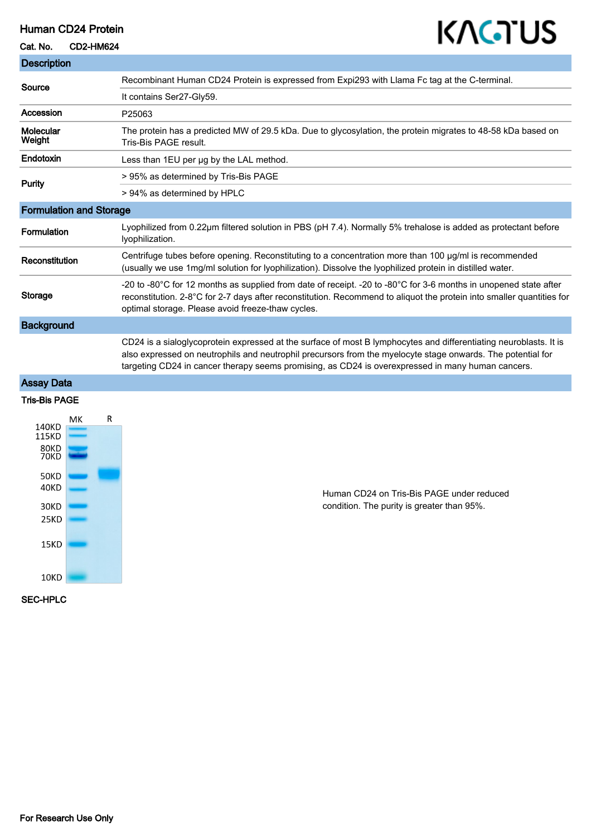## Human CD24 Protein

#### Cat. No. CD2-HM624

# KAGTUS

| <b>Description</b>             |                                                                                                                                                                                                                                                                                                                                       |
|--------------------------------|---------------------------------------------------------------------------------------------------------------------------------------------------------------------------------------------------------------------------------------------------------------------------------------------------------------------------------------|
| Source                         | Recombinant Human CD24 Protein is expressed from Expi293 with Llama Fc tag at the C-terminal.                                                                                                                                                                                                                                         |
|                                | It contains Ser27-Gly59.                                                                                                                                                                                                                                                                                                              |
| Accession                      | P25063                                                                                                                                                                                                                                                                                                                                |
| <b>Molecular</b><br>Weight     | The protein has a predicted MW of 29.5 kDa. Due to glycosylation, the protein migrates to 48-58 kDa based on<br>Tris-Bis PAGE result.                                                                                                                                                                                                 |
| Endotoxin                      | Less than 1EU per ug by the LAL method.                                                                                                                                                                                                                                                                                               |
| <b>Purity</b>                  | > 95% as determined by Tris-Bis PAGE                                                                                                                                                                                                                                                                                                  |
|                                | > 94% as determined by HPLC                                                                                                                                                                                                                                                                                                           |
| <b>Formulation and Storage</b> |                                                                                                                                                                                                                                                                                                                                       |
| <b>Formulation</b>             | Lyophilized from 0.22µm filtered solution in PBS (pH 7.4). Normally 5% trehalose is added as protectant before<br>lyophilization.                                                                                                                                                                                                     |
| Reconstitution                 | Centrifuge tubes before opening. Reconstituting to a concentration more than 100 µg/ml is recommended<br>(usually we use 1mg/ml solution for lyophilization). Dissolve the lyophilized protein in distilled water.                                                                                                                    |
| <b>Storage</b>                 | -20 to -80°C for 12 months as supplied from date of receipt. -20 to -80°C for 3-6 months in unopened state after<br>reconstitution. 2-8°C for 2-7 days after reconstitution. Recommend to aliquot the protein into smaller quantities for<br>optimal storage. Please avoid freeze-thaw cycles.                                        |
| <b>Background</b>              |                                                                                                                                                                                                                                                                                                                                       |
|                                | CD24 is a sialoglycoprotein expressed at the surface of most B lymphocytes and differentiating neuroblasts. It is<br>also expressed on neutrophils and neutrophil precursors from the myelocyte stage onwards. The potential for<br>targeting CD24 in cancer therapy seems promising, as CD24 is overexpressed in many human cancers. |
| <b>Assay Data</b>              |                                                                                                                                                                                                                                                                                                                                       |
| <b>Tris-Bis PAGE</b>           |                                                                                                                                                                                                                                                                                                                                       |
| R<br>MК<br>140KD               |                                                                                                                                                                                                                                                                                                                                       |



Human CD24 on Tris-Bis PAGE under reduced condition. The purity is greater than 95%.

SEC-HPLC